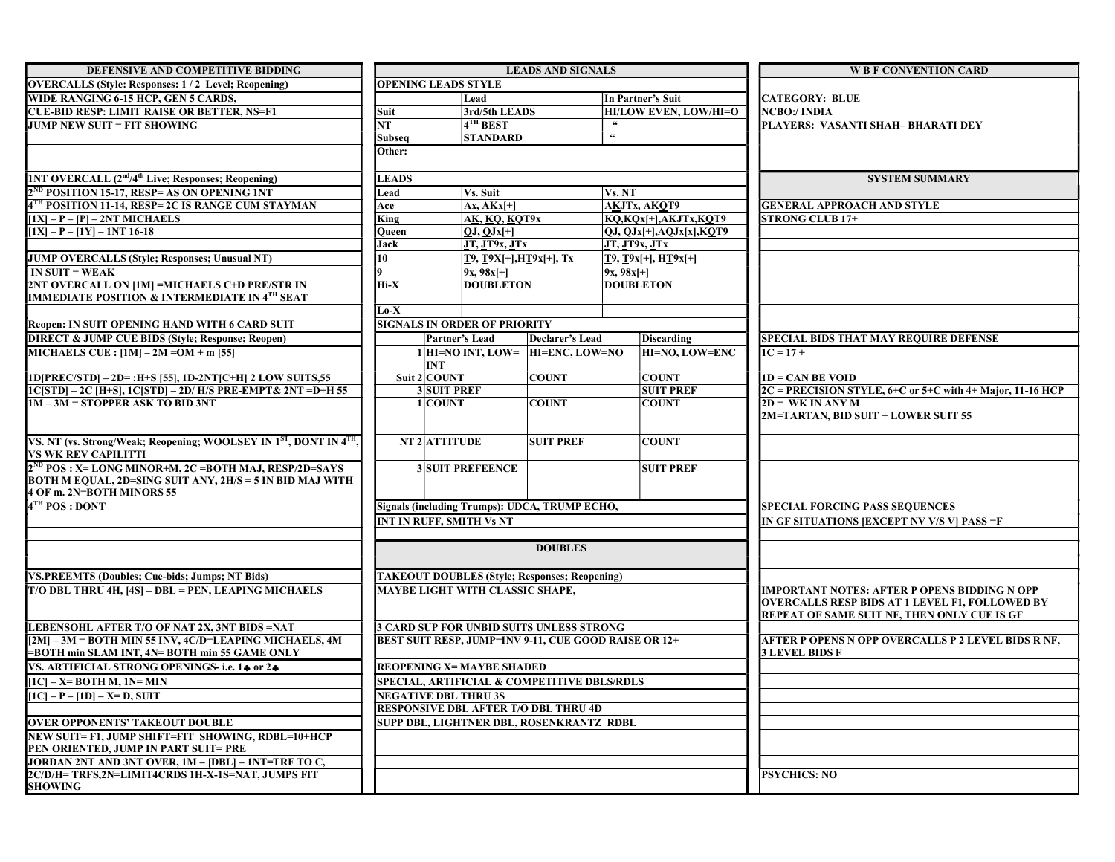| DEFENSIVE AND COMPETITIVE BIDDING                                                                         | <b>LEADS AND SIGNALS</b>                             |                                                      |                  |                |                                                    | <b>W B F CONVENTION CARD</b>                                    |
|-----------------------------------------------------------------------------------------------------------|------------------------------------------------------|------------------------------------------------------|------------------|----------------|----------------------------------------------------|-----------------------------------------------------------------|
| <b>OVERCALLS</b> (Style: Responses: 1/2 Level; Reopening)                                                 | <b>OPENING LEADS STYLE</b>                           |                                                      |                  |                |                                                    |                                                                 |
| WIDE RANGING 6-15 HCP, GEN 5 CARDS,                                                                       |                                                      | Lead                                                 |                  |                | In Partner's Suit                                  | <b>CATEGORY: BLUE</b>                                           |
| <b>CUE-BID RESP: LIMIT RAISE OR BETTER, NS=F1</b>                                                         | Suit                                                 | 3rd/5th LEADS                                        |                  |                | <b>HI/LOW EVEN, LOW/HI=O</b>                       | NCBO:/ INDIA                                                    |
| JUMP NEW SUIT = FIT SHOWING                                                                               | $\overline{\text{NT}}$                               | $\mathsf{I4}^\mathsf{TH}\operatorname{BEST}$         |                  | 66             |                                                    | PLAYERS: VASANTI SHAH- BHARATI DEY                              |
|                                                                                                           | Subseq                                               | <b>STANDARD</b>                                      |                  | $\epsilon$     |                                                    |                                                                 |
|                                                                                                           | Other:                                               |                                                      |                  |                |                                                    |                                                                 |
|                                                                                                           |                                                      |                                                      |                  |                |                                                    |                                                                 |
| [1NT OVERCALL (2 <sup>nd</sup> /4 <sup>th</sup> Live; Responses; Reopening)                               | <b>LEADS</b>                                         |                                                      |                  |                |                                                    | <b>SYSTEM SUMMARY</b>                                           |
| 2 <sup>ND</sup> POSITION 15-17, RESP= AS ON OPENING 1NT                                                   | Lead                                                 | Vs. Suit                                             |                  | Vs. NT         |                                                    |                                                                 |
| 4TH POSITION 11-14, RESP= 2C IS RANGE CUM STAYMAN                                                         | Ace                                                  | $\vert$ Ax, AKx $\vert$ +]                           |                  |                | AKJTx, AKOT9                                       | <b>GENERAL APPROACH AND STYLE</b>                               |
| $[1X] - P - [P] - 2NT MICHAELS$                                                                           | King                                                 | $A\underline{K}, \underline{KQ}, \underline{KQT9x}$  |                  |                | KQ,KQx[+],AKJTx,KQT9                               | <b>STRONG CLUB 17+</b>                                          |
| $[1X] - P - [1Y] - 1NT 16-18$                                                                             | Oueen                                                | OJ. OJxH                                             |                  |                | $QJ, QJx$ [+], $AQJx[x]$ , $KQT9$                  |                                                                 |
|                                                                                                           | Jack<br>10                                           | JT, JT9x, JTx                                        |                  |                | <b>JT, JT9x, JTx</b>                               |                                                                 |
| <b>JUMP OVERCALLS (Style; Responses; Unusual NT)</b>                                                      |                                                      | <b>T9, T9X[+],HT9x[+], Tx</b>                        |                  |                | $[T9, T9x[+]$ , $HT9x[+]$                          |                                                                 |
| $IN$ SUIT = WEAK                                                                                          |                                                      | $9x, 98x$ [+]                                        |                  | $ 9x, 98x $ +] |                                                    |                                                                 |
| 2NT OVERCALL ON [1M] =MICHAELS C+D PRE/STR IN<br><b>IMMEDIATE POSITION &amp; INTERMEDIATE IN 4TH SEAT</b> | Hi-X                                                 | <b>DOUBLETON</b>                                     |                  |                | <b>DOUBLETON</b>                                   |                                                                 |
|                                                                                                           | $Lo-X$                                               |                                                      |                  |                |                                                    |                                                                 |
| Reopen: IN SUIT OPENING HAND WITH 6 CARD SUIT                                                             |                                                      | <b>SIGNALS IN ORDER OF PRIORITY</b>                  |                  |                |                                                    |                                                                 |
| <b>DIRECT &amp; JUMP CUE BIDS (Style; Response; Reopen)</b>                                               |                                                      | Partner's Lead                                       | Declarer's Lead  |                | <b>Discarding</b>                                  | <b>SPECIAL BIDS THAT MAY REQUIRE DEFENSE</b>                    |
| MICHAELS CUE : $[1M] - 2M = OM + m$ [55]                                                                  |                                                      | $1 $ HI=NO INT, LOW= $ $ HI=ENC, LOW=NO              |                  |                | <b>HI=NO, LOW=ENC</b>                              | $1C = 17 +$                                                     |
|                                                                                                           |                                                      | INT                                                  |                  |                |                                                    |                                                                 |
| 1D[PREC/STD] - 2D= :H+S [55], 1D-2NT[C+H] 2 LOW SUITS,55                                                  |                                                      | Suit $2 COUNT$                                       | <b>COUNT</b>     |                | <b>COUNT</b>                                       | $1D = CAN BE V OID$                                             |
| 1C[STD] - 2C [H+S], 1C[STD] - 2D/ H/S PRE-EMPT& 2NT = D+H 55                                              |                                                      | <b>3 SUIT PREF</b>                                   |                  |                | <b>SUIT PREF</b>                                   | $2C = PRECISION STYLE, 6+C$ or $5+C$ with $4+$ Major, 11-16 HCP |
| 1M - 3M = STOPPER ASK TO BID 3NT                                                                          |                                                      | 1 COUNT                                              | <b>COUNT</b>     |                | <b>COUNT</b>                                       | $2D = WK IN ANY M$                                              |
|                                                                                                           |                                                      |                                                      |                  |                |                                                    | 2M=TARTAN, BID SUIT + LOWER SUIT 55                             |
|                                                                                                           |                                                      |                                                      |                  |                |                                                    |                                                                 |
| VS. NT (vs. Strong/Weak; Reopening; WOOLSEY IN 1 <sup>ST</sup> , DONT IN 4 <sup>TH</sup> ,                |                                                      | NT 2 ATTITUDE                                        | <b>SUIT PREF</b> |                | <b>COUNT</b>                                       |                                                                 |
| <b>VS WK REV CAPILITTI</b>                                                                                |                                                      |                                                      |                  |                |                                                    |                                                                 |
| $2^{ND}$ POS : X= LONG MINOR+M, 2C = BOTH MAJ, RESP/2D=SAYS                                               |                                                      | <b>3SUIT PREFEENCE</b>                               |                  |                | <b>SUIT PREF</b>                                   |                                                                 |
| BOTH M EQUAL, 2D=SING SUIT ANY, 2H/S = 5 IN BID MAJ WITH<br>4 OF m. 2N=BOTH MINORS 55                     |                                                      |                                                      |                  |                |                                                    |                                                                 |
| $4TH$ POS : DONT                                                                                          |                                                      |                                                      |                  |                |                                                    | <b>SPECIAL FORCING PASS SEQUENCES</b>                           |
|                                                                                                           |                                                      | Signals (including Trumps): UDCA, TRUMP ECHO,        |                  |                |                                                    | IN GF SITUATIONS [EXCEPT NV V/S V] PASS =F                      |
|                                                                                                           | <b>INT IN RUFF, SMITH Vs NT</b>                      |                                                      |                  |                |                                                    |                                                                 |
|                                                                                                           | <b>DOUBLES</b>                                       |                                                      |                  |                |                                                    |                                                                 |
|                                                                                                           |                                                      |                                                      |                  |                |                                                    |                                                                 |
| <b>VS.PREEMTS (Doubles; Cue-bids; Jumps; NT Bids)</b>                                                     | <b>TAKEOUT DOUBLES (Style; Responses; Reopening)</b> |                                                      |                  |                |                                                    |                                                                 |
| T/O DBL THRU 4H, [4S] - DBL = PEN, LEAPING MICHAELS                                                       |                                                      | MAYBE LIGHT WITH CLASSIC SHAPE,                      |                  |                |                                                    | <b>IMPORTANT NOTES: AFTER P OPENS BIDDING N OPP</b>             |
|                                                                                                           |                                                      |                                                      |                  |                |                                                    | <b>OVERCALLS RESP BIDS AT 1 LEVEL F1, FOLLOWED BY</b>           |
|                                                                                                           |                                                      |                                                      |                  |                |                                                    | REPEAT OF SAME SUIT NF, THEN ONLY CUE IS GF                     |
| LEBENSOHL AFTER T/O OF NAT 2X, 3NT BIDS =NAT                                                              | <b>3 CARD SUP FOR UNBID SUITS UNLESS STRONG</b>      |                                                      |                  |                |                                                    |                                                                 |
| $[2M] - 3M = BOTH$ MIN 55 INV, 4C/D=LEAPING MICHAELS, 4M                                                  |                                                      | BEST SUIT RESP, JUMP=INV 9-11, CUE GOOD RAISE OR 12+ |                  |                | AFTER P OPENS N OPP OVERCALLS P 2 LEVEL BIDS R NF, |                                                                 |
| =BOTH min SLAM INT, 4N= BOTH min 55 GAME ONLY                                                             |                                                      |                                                      |                  |                | <b>3 LEVEL BIDS F</b>                              |                                                                 |
| VS. ARTIFICIAL STRONG OPENINGS- i.e. 14 or 24                                                             | <b>REOPENING X= MAYBE SHADED</b>                     |                                                      |                  |                |                                                    |                                                                 |
| $[1C]$ – X= BOTH M, 1N= MIN                                                                               | SPECIAL, ARTIFICIAL & COMPETITIVE DBLS/RDLS          |                                                      |                  |                |                                                    |                                                                 |
| $[1C] - P - [1D] - X = D$ , SUIT                                                                          | <b>NEGATIVE DBL THRU 3S</b>                          |                                                      |                  |                |                                                    |                                                                 |
|                                                                                                           | <b>RESPONSIVE DBL AFTER T/O DBL THRU 4D</b>          |                                                      |                  |                |                                                    |                                                                 |
| <b>OVER OPPONENTS' TAKEOUT DOUBLE</b>                                                                     | SUPP DBL, LIGHTNER DBL, ROSENKRANTZ RDBL             |                                                      |                  |                |                                                    |                                                                 |
| NEW SUIT= F1, JUMP SHIFT=FIT SHOWING, RDBL=10+HCP                                                         |                                                      |                                                      |                  |                |                                                    |                                                                 |
| PEN ORIENTED, JUMP IN PART SUIT= PRE                                                                      |                                                      |                                                      |                  |                |                                                    |                                                                 |
| JORDAN 2NT AND 3NT OVER, 1M - [DBL] - 1NT=TRF TO C,                                                       |                                                      |                                                      |                  |                |                                                    |                                                                 |
| 2C/D/H= TRFS,2N=LIMIT4CRDS 1H-X-1S=NAT, JUMPS FIT                                                         |                                                      |                                                      |                  |                | <b>PSYCHICS: NO</b>                                |                                                                 |
| <b>SHOWING</b>                                                                                            |                                                      |                                                      |                  |                |                                                    |                                                                 |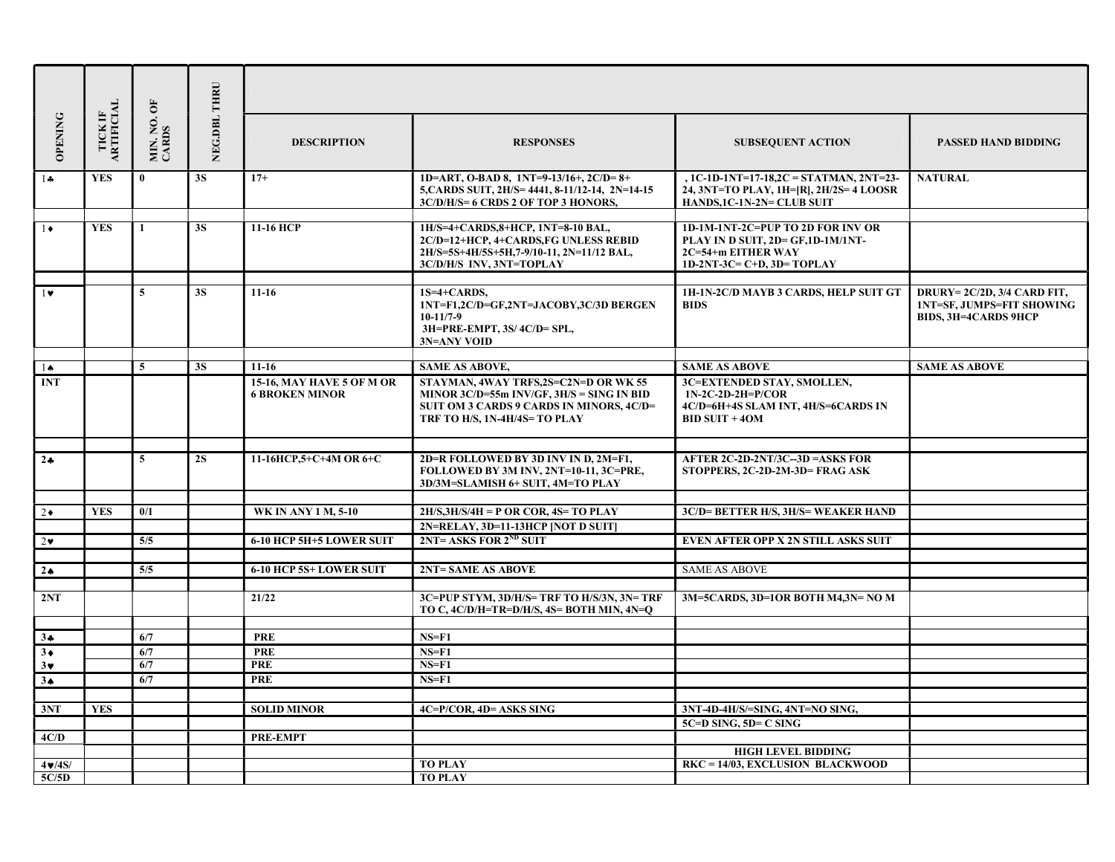| <b>OPENING</b> | TICK IF ARTIFICIAL | MIN. NO. OF<br>CARDS | NEG.DBL THRU | <b>DESCRIPTION</b>                                        | <b>RESPONSES</b>                                                                                                                                                   | <b>SUBSEQUENT ACTION</b>                                                                                                   | <b>PASSED HAND BIDDING</b>                                                                    |
|----------------|--------------------|----------------------|--------------|-----------------------------------------------------------|--------------------------------------------------------------------------------------------------------------------------------------------------------------------|----------------------------------------------------------------------------------------------------------------------------|-----------------------------------------------------------------------------------------------|
| $1 +$          | <b>YES</b>         | $\bf{0}$             | <b>3S</b>    | $17+$                                                     | 1D=ART, O-BAD 8, 1NT=9-13/16+, 2C/D= $8+$<br>5, CARDS SUIT, 2H/S= 4441, 8-11/12-14, 2N=14-15<br>3C/D/H/S= 6 CRDS 2 OF TOP 3 HONORS,                                | , 1C-1D-1NT=17-18,2C = STATMAN, 2NT=23-<br>24, 3NT=TO PLAY, 1H=[R], 2H/2S= 4 LOOSR<br>HANDS, 1C-1N-2N= CLUB SUIT           | <b>NATURAL</b>                                                                                |
| $1\bullet$     | <b>YES</b>         | -1                   | 3S           | 11-16 НСР                                                 | 1H/S=4+CARDS,8+HCP, 1NT=8-10 BAL,<br>2C/D=12+HCP, 4+CARDS, FG UNLESS REBID<br>2H/S=5S+4H/5S+5H,7-9/10-11, 2N=11/12 BAL,<br>3C/D/H/S INV, 3NT=TOPLAY                | 1D-1M-1NT-2C=PUP TO 2D FOR INV OR<br>PLAY IN D SUIT, 2D= GF,1D-1M/1NT-<br>2C=54+m EITHER WAY<br>$1D-2NT-3C=C+D, 3D=TOPLAY$ |                                                                                               |
| $1$ v          |                    | 5 <sup>5</sup>       | 3S           | $11-16$                                                   | $1S=4+CARDS.$<br>1NT=F1,2C/D=GF,2NT=JACOBY,3C/3D BERGEN<br>$10-11/7-9$<br>3H=PRE-EMPT, 3S/4C/D= SPL,<br>3N=ANY VOID                                                | 1H-1N-2C/D MAYB 3 CARDS, HELP SUIT GT<br><b>BIDS</b>                                                                       | DRURY=2C/2D, 3/4 CARD FIT,<br><b>1NT=SF, JUMPS=FIT SHOWING</b><br><b>BIDS, 3H=4CARDS 9HCP</b> |
| $1\spadesuit$  |                    | 5                    | <b>3S</b>    | $11-16$                                                   | <b>SAME AS ABOVE,</b>                                                                                                                                              | <b>SAME AS ABOVE</b>                                                                                                       | <b>SAME AS ABOVE</b>                                                                          |
| <b>INT</b>     |                    |                      |              | <b>15-16, MAY HAVE 5 OF M OR</b><br><b>6 BROKEN MINOR</b> | STAYMAN, 4WAY TRFS,2S=C2N=D OR WK 55<br>MINOR $3C/D=55m$ INV/GF, $3H/S = SING$ IN BID<br>SUIT OM 3 CARDS 9 CARDS IN MINORS, 4C/D=<br>TRF TO H/S, 1N-4H/4S= TO PLAY | 3C=EXTENDED STAY, SMOLLEN,<br>$1N-2C-2D-2H=P/COR$<br>4C/D=6H+4S SLAM INT, 4H/S=6CARDS IN<br>$BID$ SUIT + 40M               |                                                                                               |
| $2 +$          |                    | $\overline{5}$       | <b>2S</b>    | 11-16HCP,5+C+4M OR 6+C                                    | 2D=R FOLLOWED BY 3D INV IN D, 2M=F1,<br>FOLLOWED BY 3M INV, 2NT=10-11, 3C=PRE,<br>3D/3M=SLAMISH 6+ SUIT, 4M=TO PLAY                                                | AFTER 2C-2D-2NT/3C--3D = ASKS FOR<br>STOPPERS, 2C-2D-2M-3D= FRAG ASK                                                       |                                                                                               |
| $2\bullet$     | <b>YES</b>         | 0/1                  |              | <b>WK IN ANY 1 M, 5-10</b>                                | $2H/S.3H/S/4H = P$ OR COR, $4S = TO$ PLAY                                                                                                                          | 3C/D= BETTER H/S, 3H/S= WEAKER HAND                                                                                        |                                                                                               |
|                |                    |                      |              |                                                           | 2N=RELAY, 3D=11-13HCP [NOT D SUIT]                                                                                                                                 |                                                                                                                            |                                                                                               |
| $2\bullet$     |                    | 5/5                  |              | 6-10 HCP 5H+5 LOWER SUIT                                  | $2NT = ASKS$ FOR $2^{ND}$ SUIT                                                                                                                                     | EVEN AFTER OPP X 2N STILL ASKS SUIT                                                                                        |                                                                                               |
|                |                    |                      |              |                                                           |                                                                                                                                                                    |                                                                                                                            |                                                                                               |
| 2 <sub>•</sub> |                    | 5/5                  |              | 6-10 HCP 5S+ LOWER SUIT                                   | 2NT= SAME AS ABOVE                                                                                                                                                 | <b>SAME AS ABOVE</b>                                                                                                       |                                                                                               |
|                |                    |                      |              |                                                           |                                                                                                                                                                    |                                                                                                                            |                                                                                               |
| 2NT            |                    |                      |              | 21/22                                                     | 3C=PUP STYM, 3D/H/S= TRF TO H/S/3N, 3N= TRF<br>TO C, $4C/D/H = TR = D/H/S$ , $4S = BOTH$ MIN, $4N=O$                                                               | 3M=5CARDS, 3D=1OR BOTH M4,3N= NO M                                                                                         |                                                                                               |
| $3 -$          |                    | 6/7                  |              | <b>PRE</b>                                                | $NS = F1$                                                                                                                                                          |                                                                                                                            |                                                                                               |
| $3*$           |                    | 6/7                  |              | <b>PRE</b>                                                | $NS = F1$                                                                                                                                                          |                                                                                                                            |                                                                                               |
| $3*$           |                    | 6/7                  |              | <b>PRE</b>                                                | $NS = F1$                                                                                                                                                          |                                                                                                                            |                                                                                               |
| 3 <sub>•</sub> |                    | 6/7                  |              | <b>PRE</b>                                                | $NS = F1$                                                                                                                                                          |                                                                                                                            |                                                                                               |
|                |                    |                      |              |                                                           |                                                                                                                                                                    |                                                                                                                            |                                                                                               |
| 3NT            | YES                |                      |              | <b>SOLID MINOR</b>                                        | 4C=P/COR, 4D= ASKS SING                                                                                                                                            | 3NT-4D-4H/S/=SING, 4NT=NO SING,                                                                                            |                                                                                               |
|                |                    |                      |              |                                                           |                                                                                                                                                                    | $5C = D$ SING, $5D = C$ SING                                                                                               |                                                                                               |
| 4C/D           |                    |                      |              | PRE-EMPT                                                  |                                                                                                                                                                    |                                                                                                                            |                                                                                               |
|                |                    |                      |              |                                                           |                                                                                                                                                                    | <b>HIGH LEVEL BIDDING</b>                                                                                                  |                                                                                               |
| $4 \cdot 4S$   |                    |                      |              |                                                           | <b>TO PLAY</b>                                                                                                                                                     | $RKC = 14/03$ , EXCLUSION BLACKWOOD                                                                                        |                                                                                               |
| 5C/5D          |                    |                      |              |                                                           | <b>TO PLAY</b>                                                                                                                                                     |                                                                                                                            |                                                                                               |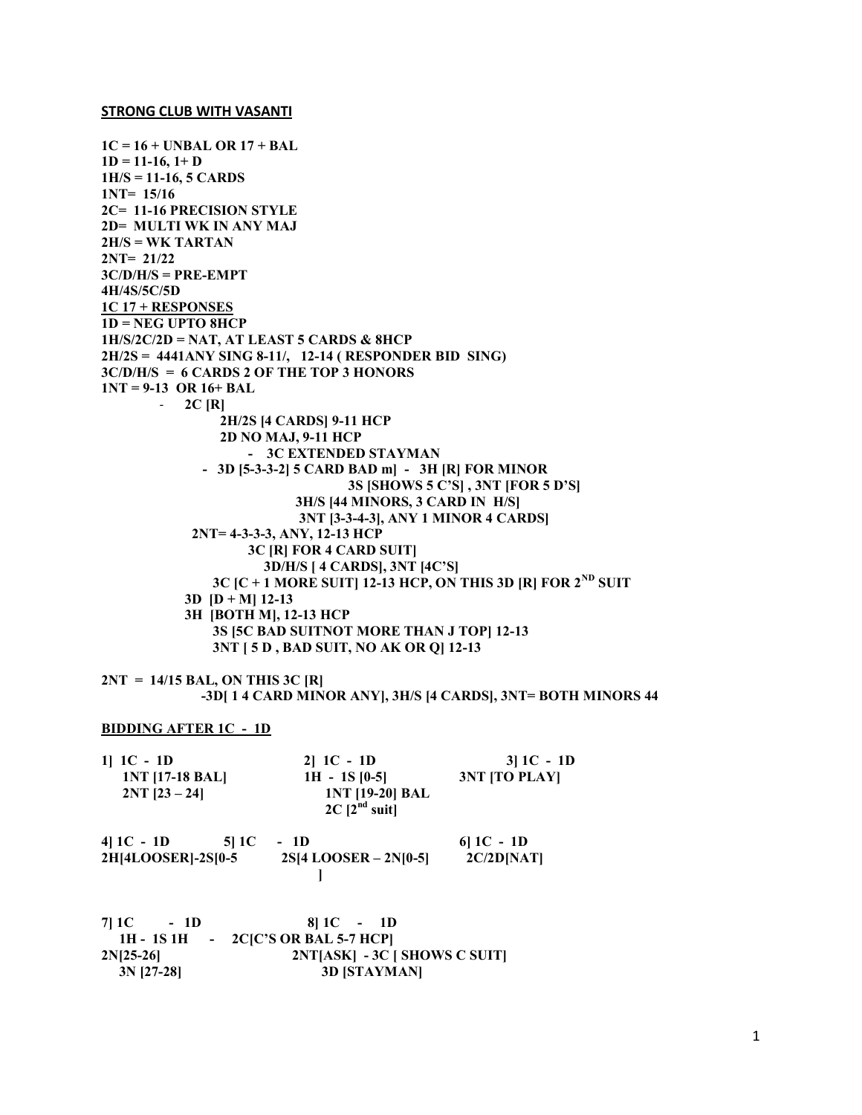#### STRONG CLUB WITH VASANTI

1C = 16 + UNBAL OR 17 + BAL  $1D = 11-16$ ,  $1+D$ 1H/S = 11-16, 5 CARDS 1NT= 15/16 2C= 11-16 PRECISION STYLE 2D= MULTI WK IN ANY MAJ 2H/S = WK TARTAN 2NT= 21/22  $3C/D/H/S = PRE-EMPT$ 4H/4S/5C/5D 1C 17 + RESPONSES 1D = NEG UPTO 8HCP 1H/S/2C/2D = NAT, AT LEAST 5 CARDS & 8HCP 2H/2S = 4441ANY SING 8-11/, 12-14 ( RESPONDER BID SING) 3C/D/H/S = 6 CARDS 2 OF THE TOP 3 HONORS 1NT = 9-13 OR 16+ BAL  $-2C$  [R] 2H/2S [4 CARDS] 9-11 HCP 2D NO MAJ, 9-11 HCP - 3C EXTENDED STAYMAN - 3D [5-3-3-2] 5 CARD BAD m] - 3H [R] FOR MINOR 3S [SHOWS 5 C'S] , 3NT [FOR 5 D'S] 3H/S [44 MINORS, 3 CARD IN H/S] 3NT [3-3-4-3], ANY 1 MINOR 4 CARDS] 2NT= 4-3-3-3, ANY, 12-13 HCP 3C [R] FOR 4 CARD SUIT] 3D/H/S [ 4 CARDS], 3NT [4C'S] 3C  $|C + 1$  MORE SUIT 12-13 HCP, ON THIS 3D  $|R|$  FOR  $2^{ND}$  SUIT  $3D$   $[D + M]$  12-13 3H [BOTH M], 12-13 HCP 3S [5C BAD SUITNOT MORE THAN J TOP] 12-13 3NT [ 5 D , BAD SUIT, NO AK OR Q] 12-13

 $2NT = 14/15$  BAL, ON THIS 3C [R] -3D[ 1 4 CARD MINOR ANY], 3H/S [4 CARDS], 3NT= BOTH MINORS 44

# BIDDING AFTER 1C - 1D

| 1  $1C - 1D$    | $2  1C - 1D$           | $3 1C - 1D$     |
|-----------------|------------------------|-----------------|
| 1NT [17-18 BAL] | $1H - 1S$ [0-5]        | $3NT$ [TO PLAY] |
| $2NT$ [23 – 24] | <b>1NT [19-20] BAL</b> |                 |
|                 | $2C$ [ $2^{nd}$ suit]  |                 |

| 4 $1C - 1D$<br>51 1 C | - 1D                      | 61 1 C - 1 D |
|-----------------------|---------------------------|--------------|
| 2H[4LOOSER]-2S[0-5    | $2S[4$ LOOSER – $2N[0-5]$ | 2C/2D[NAT]   |
|                       |                           |              |

| $7 1C - 1D$  | $811C - 1D$                          |
|--------------|--------------------------------------|
|              | 1H - 1S 1H - $2C/C'S OR BAL 5-7 HCP$ |
| $2N[25-26]$  | $2NT[ASK] - 3C [ SHOWS C SUIT]$      |
| $3N$ [27-28] | <b>3D [STAYMAN]</b>                  |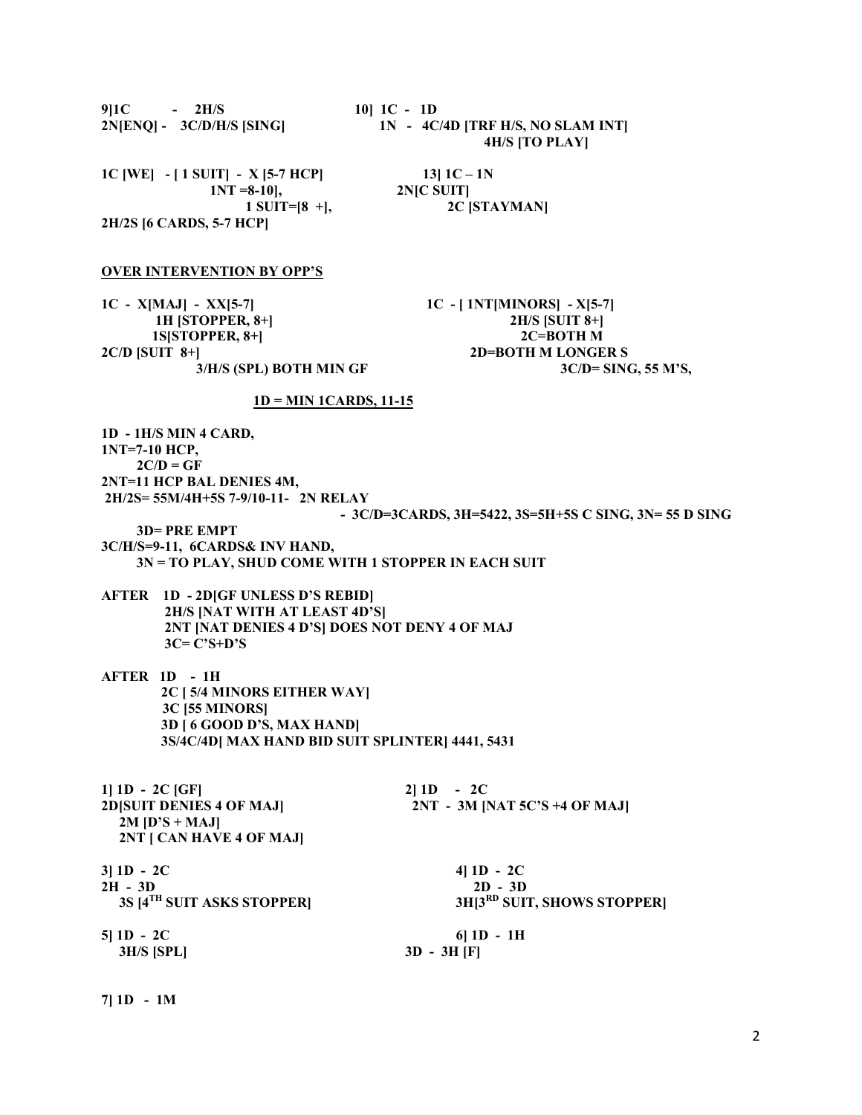| $10$ ] $1C - 1D$<br>9 1C<br>$-2H/S$<br>$2N[ENQ] - 3C/D/H/S$ [SING]                                                                                                                                                                                                                                                                                                                                           | 1N - 4C/4D [TRF H/S, NO SLAM INT]<br><b>4H/S [TO PLAY]</b>                                                      |
|--------------------------------------------------------------------------------------------------------------------------------------------------------------------------------------------------------------------------------------------------------------------------------------------------------------------------------------------------------------------------------------------------------------|-----------------------------------------------------------------------------------------------------------------|
| 1C [WE] - [ 1 SUIT] - X [5-7 HCP]<br>$1NT = 8-10$ ,<br>1 SUIT= $[8 +]$ ,<br>2H/2S [6 CARDS, 5-7 HCP]                                                                                                                                                                                                                                                                                                         | 13] $1C - 1N$<br>2NJC SUIT]<br>2C [STAYMAN]                                                                     |
| <b>OVER INTERVENTION BY OPP'S</b>                                                                                                                                                                                                                                                                                                                                                                            |                                                                                                                 |
| $1C - X[MAJ] - XX[5-7]$<br>1H [STOPPER, 8+]<br>1S[STOPPER, 8+]<br>$2C/D$ [SUIT 8+]<br>3/H/S (SPL) BOTH MIN GF                                                                                                                                                                                                                                                                                                | $1C - [1NT[MINORS] - X[5-7]$<br>2H/S [SUIT 8+]<br>2C=BOTH M<br><b>2D=BOTH M LONGER S</b><br>3C/D= SING, 55 M'S, |
| <u>1D = MIN 1CARDS, 11-15</u>                                                                                                                                                                                                                                                                                                                                                                                |                                                                                                                 |
| 1D - 1H/S MIN 4 CARD,<br>1NT=7-10 HCP,<br>$2C/D = GF$<br>2NT=11 HCP BAL DENIES 4M,<br>2H/2S= 55M/4H+5S 7-9/10-11- 2N RELAY<br><b>3D=PREEMPT</b><br>3C/H/S=9-11, 6CARDS& INV HAND,<br>3N = TO PLAY, SHUD COME WITH 1 STOPPER IN EACH SUIT<br><b>AFTER 1D - 2D[GF UNLESS D'S REBID]</b><br>2H/S [NAT WITH AT LEAST 4D'S]<br>2NT [NAT DENIES 4 D'S] DOES NOT DENY 4 OF MAJ<br>$3C = C'S + D'S$<br>AFTER 1D - 1H | - 3C/D=3CARDS, 3H=5422, 3S=5H+5S C SING, 3N= 55 D SING                                                          |
| 2C [ 5/4 MINORS EITHER WAY]<br><b>3C [55 MINORS]</b><br>3D [ 6 GOOD D'S, MAX HAND]<br>3S/4C/4D MAX HAND BID SUIT SPLINTER 4441, 5431                                                                                                                                                                                                                                                                         |                                                                                                                 |
| $1 1D - 2C GF $<br>2D[SUIT DENIES 4 OF MAJ]<br>$2M [D'S + MAJ]$<br>2NT [ CAN HAVE 4 OF MAJ]                                                                                                                                                                                                                                                                                                                  | $2 1D - 2C$<br>2NT - 3M [NAT 5C'S +4 OF MAJ]                                                                    |
| $3 1D - 2C$<br>$2H - 3D$<br>3S [4 <sup>TH</sup> SUIT ASKS STOPPER]                                                                                                                                                                                                                                                                                                                                           | 4] $1D - 2C$<br>$2D - 3D$<br>3H <sup>3RD</sup> SUIT, SHOWS STOPPER]                                             |
| $5 1D - 2C$<br>3H/S [SPL]                                                                                                                                                                                                                                                                                                                                                                                    | $6$   1D - 1H<br>$3D - 3H$ [F]                                                                                  |

7] 1D - 1M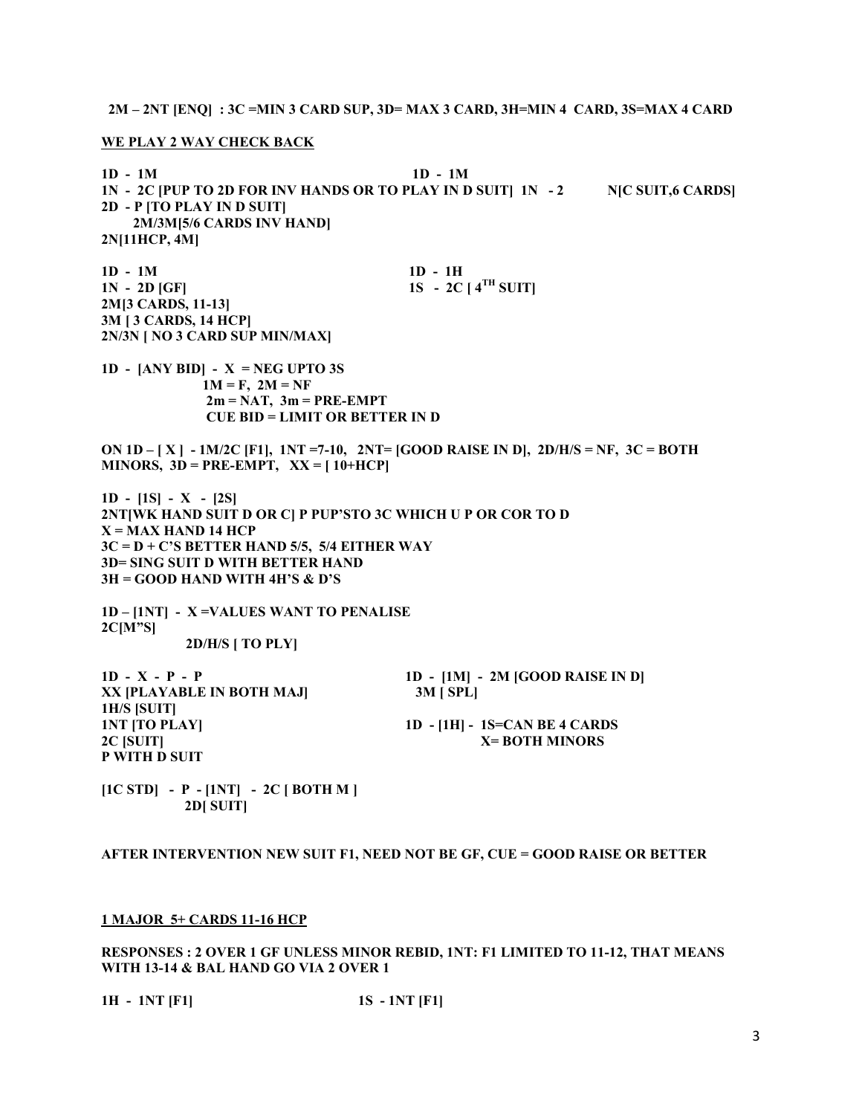2M – 2NT [ENQ] : 3C =MIN 3 CARD SUP, 3D= MAX 3 CARD, 3H=MIN 4 CARD, 3S=MAX 4 CARD

WE PLAY 2 WAY CHECK BACK

1D - 1M 1D - 1M 1N - 2C [PUP TO 2D FOR INV HANDS OR TO PLAY IN D SUIT] 1N - 2 N[C SUIT,6 CARDS] 2D - P [TO PLAY IN D SUIT] 2M/3M[5/6 CARDS INV HAND] 2N[11HCP, 4M] 1D - 1M 1D - 1H  $1N - 2D$  [GF]  $1S - 2C$  [  $4^{TH}$  SUIT] 2M[3 CARDS, 11-13] 3M [ 3 CARDS, 14 HCP] 2N/3N [ NO 3 CARD SUP MIN/MAX] 1D -  $[ANY BID] - X = NEG UPTO 3S$  $1M = F$ ,  $2M = NF$  $2m = NAT$ ,  $3m = PRE-EMPT$  CUE BID = LIMIT OR BETTER IN D ON  $1D - [X] - 1M/2C$  [F1],  $1NT = 7-10$ ,  $2NT = [GOOD RASE IN D]$ ,  $2D/H/S = NF$ ,  $3C = BOTH$ MINORS,  $3D = PRE-EMPT$ ,  $XX = [10+HCP]$ 1D - [1S] - X - [2S] 2NT[WK HAND SUIT D OR C] P PUP'STO 3C WHICH U P OR COR TO D  $X = MAX$  HAND 14 HCP  $3C = D + C'S$  BETTER HAND 5/5, 5/4 EITHER WAY 3D= SING SUIT D WITH BETTER HAND 3H = GOOD HAND WITH 4H'S & D'S 1D – [1NT] - X =VALUES WANT TO PENALISE 2C[M"S] 2D/H/S [ TO PLY]  $1D - X - P - P$   $1D - [1M] - 2M$  [GOOD RAISE IN D] XX [PLAYABLE IN BOTH MAJ] 3M [ SPL] 1H/S [SUIT] 1NT [TO PLAY] 1D - [1H] - 1S=CAN BE 4 CARDS 2C [SUIT] X= BOTH MINORS P WITH D SUIT  $[1C STD] - P - [1NT] - 2C [BOTH M]$ 2D[ SUIT]

AFTER INTERVENTION NEW SUIT F1, NEED NOT BE GF, CUE = GOOD RAISE OR BETTER

#### 1 MAJOR 5+ CARDS 11-16 HCP

RESPONSES : 2 OVER 1 GF UNLESS MINOR REBID, 1NT: F1 LIMITED TO 11-12, THAT MEANS WITH 13-14 & BAL HAND GO VIA 2 OVER 1

1H - 1NT [F1] 1S - 1NT [F1]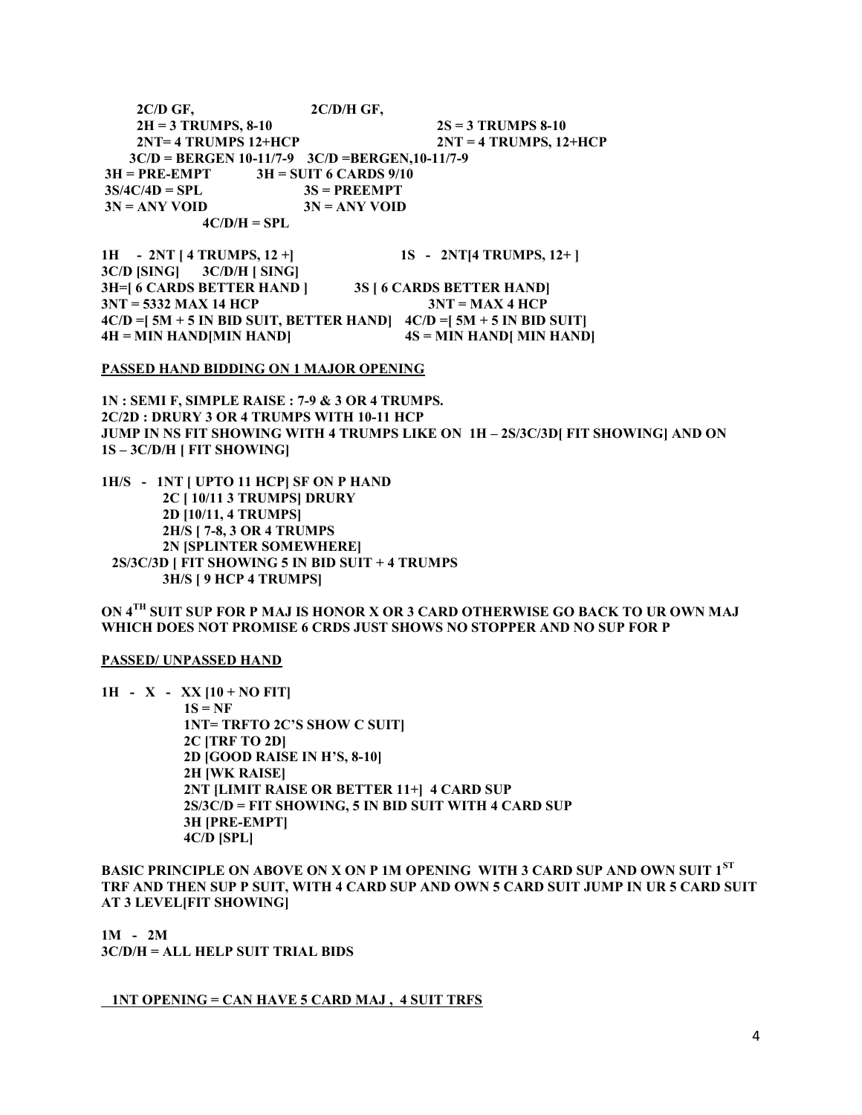$2C/D$  GF,  $2C/D/H$  GF,  $2H = 3$  TRUMPS, 8-10  $2S = 3$  TRUMPS 8-10  $2NT = 4$  TRUMPS 12+HCP  $2NT = 4$  TRUMPS, 12+HCP 3C/D = BERGEN 10-11/7-9 3C/D =BERGEN,10-11/7-9  $3H = PRE-EMENT$   $3H = SUIT 6 CARDS 9/10$  $3S/4C/4D = SPL$   $3S = PREEMPT$ <br> $3N = ANY VOLD$   $3N = ANY VOD$  $3N = ANY$  VOID  $4C/D/H = SPL$ 

1H - 2NT [ 4 TRUMPS, 12 +] 1S - 2NT [ 4 TRUMPS, 12 + ] 3C/D [SING] 3C/D/H [ SING] 3H=[ 6 CARDS BETTER HAND ] 3S [ 6 CARDS BETTER HAND]  $3NT = 5332$  MAX 14 HCP  $3NT = MAX 4$  HCP  $4C/D = [ 5M + 5 IN BID SUIT, BETTER HAND]$   $4C/D = [ 5M + 5 IN BID SUIT]$  $4H = MIN HAND[MIN HAND]$   $4S = MIN HAND[ MIN HAND]$ 

#### PASSED HAND BIDDING ON 1 MAJOR OPENING

1N : SEMI F, SIMPLE RAISE : 7-9 & 3 OR 4 TRUMPS. 2C/2D : DRURY 3 OR 4 TRUMPS WITH 10-11 HCP JUMP IN NS FIT SHOWING WITH 4 TRUMPS LIKE ON 1H – 2S/3C/3D[ FIT SHOWING] AND ON 1S – 3C/D/H [ FIT SHOWING]

1H/S - 1NT [ UPTO 11 HCP] SF ON P HAND 2C [ 10/11 3 TRUMPS] DRURY 2D [10/11, 4 TRUMPS] 2H/S [ 7-8, 3 OR 4 TRUMPS 2N [SPLINTER SOMEWHERE] 2S/3C/3D [ FIT SHOWING 5 IN BID SUIT + 4 TRUMPS 3H/S [ 9 HCP 4 TRUMPS]

# ON 4TH SUIT SUP FOR P MAJ IS HONOR X OR 3 CARD OTHERWISE GO BACK TO UR OWN MAJ WHICH DOES NOT PROMISE 6 CRDS JUST SHOWS NO STOPPER AND NO SUP FOR P

## PASSED/ UNPASSED HAND

 $1H - X - XX [10 + NO FIT]$  $1S = NF$  1NT= TRFTO 2C'S SHOW C SUIT] 2C [TRF TO 2D] 2D [GOOD RAISE IN H'S, 8-10] 2H [WK RAISE] 2NT [LIMIT RAISE OR BETTER 11+] 4 CARD SUP 2S/3C/D = FIT SHOWING, 5 IN BID SUIT WITH 4 CARD SUP 3H [PRE-EMPT] 4C/D [SPL]

BASIC PRINCIPLE ON ABOVE ON X ON P 1M OPENING WITH 3 CARD SUP AND OWN SUIT 1<sup>st</sup> TRF AND THEN SUP P SUIT, WITH 4 CARD SUP AND OWN 5 CARD SUIT JUMP IN UR 5 CARD SUIT AT 3 LEVEL[FIT SHOWING]

1M - 2M 3C/D/H = ALL HELP SUIT TRIAL BIDS

#### 1NT OPENING = CAN HAVE 5 CARD MAJ , 4 SUIT TRFS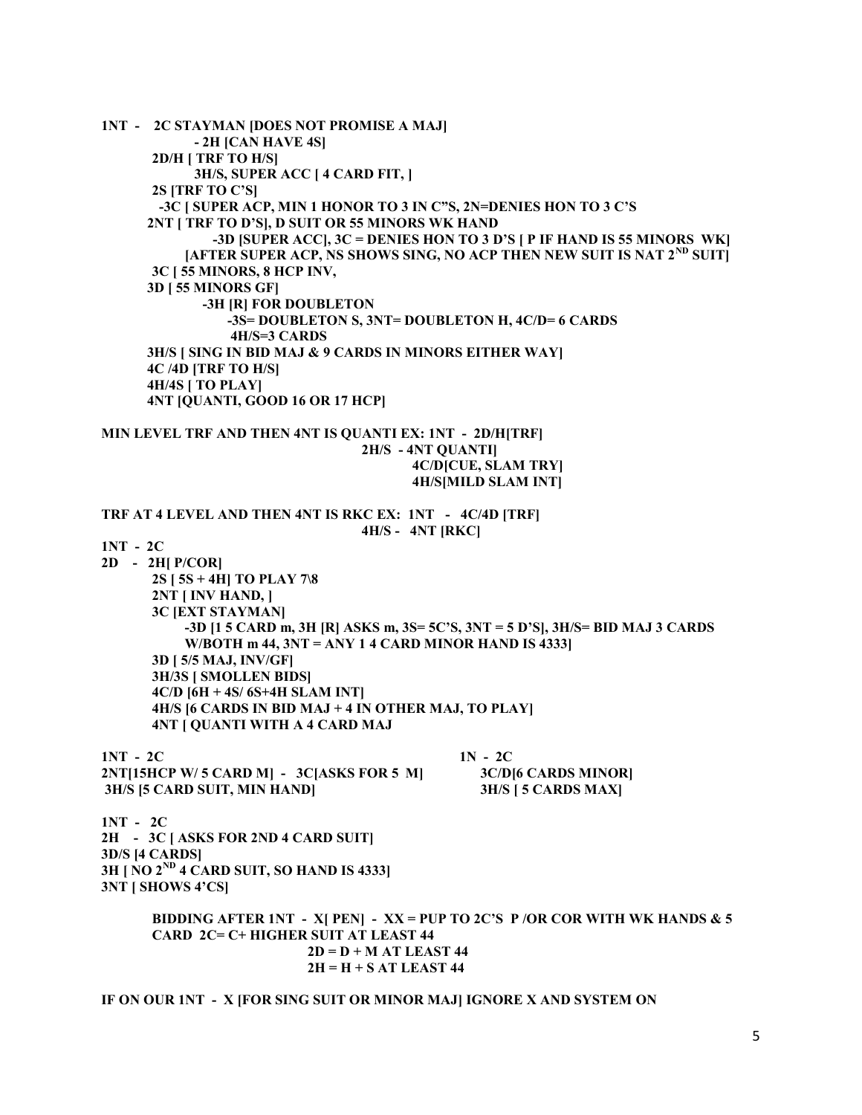1NT - 2C STAYMAN [DOES NOT PROMISE A MAJ] - 2H [CAN HAVE 4S] 2D/H [ TRF TO H/S] 3H/S, SUPER ACC [ 4 CARD FIT, ] 2S [TRF TO C'S] -3C [ SUPER ACP, MIN 1 HONOR TO 3 IN C"S, 2N=DENIES HON TO 3 C'S 2NT [ TRF TO D'S], D SUIT OR 55 MINORS WK HAND -3D [SUPER ACC], 3C = DENIES HON TO 3 D'S [ P IF HAND IS 55 MINORS WK] [AFTER SUPER ACP, NS SHOWS SING, NO ACP THEN NEW SUIT IS NAT  $2^{ND}$  SUIT] 3C [ 55 MINORS, 8 HCP INV, 3D [ 55 MINORS GF] -3H [R] FOR DOUBLETON -3S= DOUBLETON S, 3NT= DOUBLETON H, 4C/D= 6 CARDS 4H/S=3 CARDS 3H/S [ SING IN BID MAJ & 9 CARDS IN MINORS EITHER WAY] 4C /4D [TRF TO H/S] 4H/4S [ TO PLAY] 4NT [QUANTI, GOOD 16 OR 17 HCP] MIN LEVEL TRF AND THEN 4NT IS QUANTI EX: 1NT - 2D/H[TRF] 2H/S - 4NT QUANTI] 4C/D[CUE, SLAM TRY] 4H/S[MILD SLAM INT] TRF AT 4 LEVEL AND THEN 4NT IS RKC EX: 1NT - 4C/4D [TRF] 4H/S - 4NT [RKC] 1NT - 2C 2D - 2H[ P/COR] 2S [ 5S + 4H] TO PLAY 7\8 2NT [ INV HAND, ] 3C [EXT STAYMAN] -3D [1 5 CARD m, 3H [R] ASKS m, 3S= 5C'S, 3NT = 5 D'S], 3H/S= BID MAJ 3 CARDS W/BOTH  $m$  44,  $3NT = ANY 14$  CARD MINOR HAND IS 4333] 3D [ 5/5 MAJ, INV/GF] 3H/3S [ SMOLLEN BIDS] 4C/D [6H + 4S/ 6S+4H SLAM INT] 4H/S [6 CARDS IN BID MAJ + 4 IN OTHER MAJ, TO PLAY] 4NT [ QUANTI WITH A 4 CARD MAJ  $1N - 2C$  1N - 2C 2NT[15HCP W/ 5 CARD M] - 3C[ASKS FOR 5 M] 3C/D[6 CARDS MINOR] 3H/S [5 CARD SUIT, MIN HAND] 3H/S [ 5 CARDS MAX] 1NT - 2C 2H - 3C [ ASKS FOR 2ND 4 CARD SUIT] 3D/S [4 CARDS]  $3H \mid NO 2^{ND}$  4 CARD SUIT, SO HAND IS 4333] 3NT [ SHOWS 4'CS] BIDDING AFTER 1NT - X[ PEN] - XX = PUP TO 2C'S P /OR COR WITH WK HANDS  $\&$  5 CARD 2C= C+ HIGHER SUIT AT LEAST 44  $2D = D + M AT LEAST 44$  $2H = H + S AT LEAST 44$ 

IF ON OUR 1NT - X [FOR SING SUIT OR MINOR MAJ] IGNORE X AND SYSTEM ON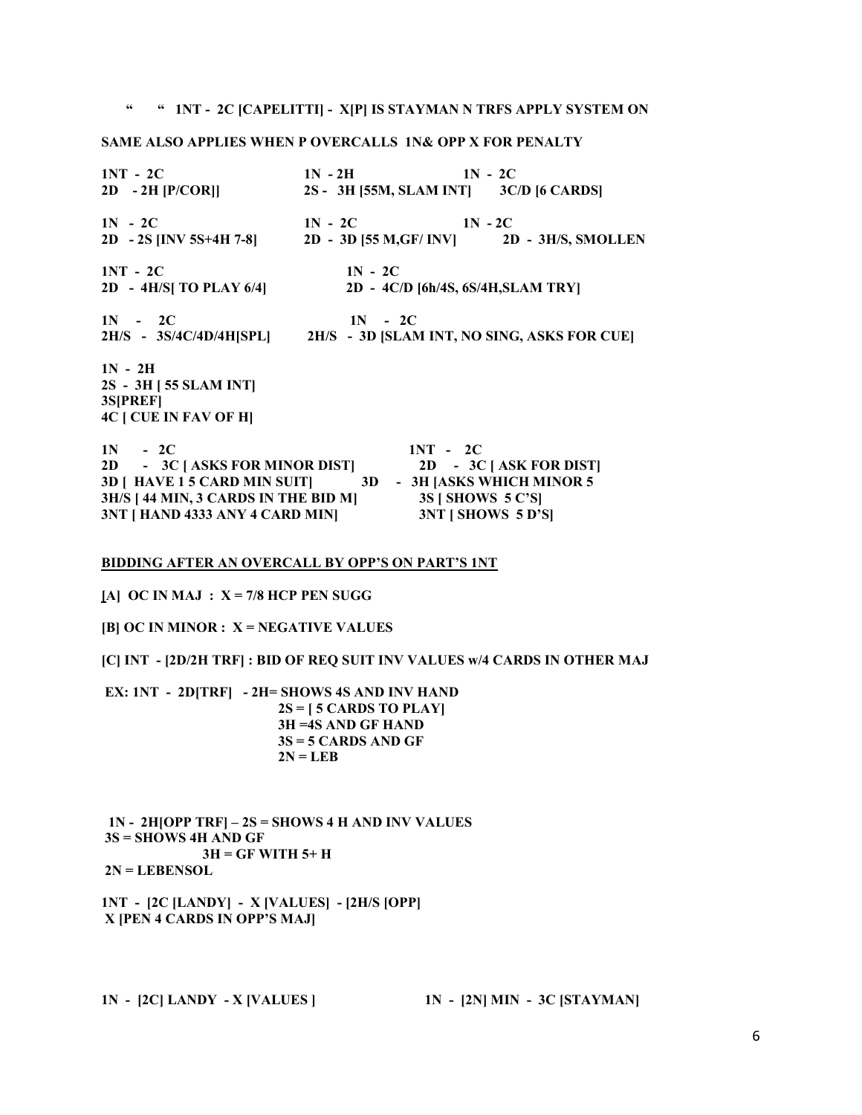# " " 1NT - 2C [CAPELITTI] - X[P] IS STAYMAN N TRFS APPLY SYSTEM ON

# SAME ALSO APPLIES WHEN P OVERCALLS 1N& OPP X FOR PENALTY

| $1NT - 2C$                                                          | $1N - 2H$ $1N - 2C$                    |                                    |  |
|---------------------------------------------------------------------|----------------------------------------|------------------------------------|--|
| $2D - 2H$ [P/COR]]                                                  | 2S - 3H [55M, SLAM INT] 3C/D [6 CARDS] |                                    |  |
| $1N - 2C$                                                           | $1N - 2C$ $1N - 2C$                    |                                    |  |
| 2D - 2S [INV 5S+4H 7-8] 2D - 3D [55 M, GF/ INV] 2D - 3H/S, SMOLLEN  |                                        |                                    |  |
| $1NT - 2C$                                                          | $1N - 2C$                              |                                    |  |
| $2D - 4H/S$ TO PLAY 6/4]                                            |                                        | 2D - 4C/D [6h/4S, 6S/4H, SLAM TRY] |  |
| $1N - 2C$                                                           | $1N - 2C$                              |                                    |  |
| 2H/S - 3S/4C/4D/4H[SPL] 2H/S - 3D [SLAM INT, NO SING, ASKS FOR CUE] |                                        |                                    |  |
| $1N - 2H$                                                           |                                        |                                    |  |
| 2S - 3H [ 55 SLAM INT]                                              |                                        |                                    |  |
| 3S[PREF]                                                            |                                        |                                    |  |
| <b>4C [ CUE IN FAV OF H]</b>                                        |                                        |                                    |  |
| $1N - 2C$                                                           |                                        | $1NT - 2C$                         |  |
| 2D - 3C [ASKS FOR MINOR DIST] 2D - 3C [ASK FOR DIST]                |                                        |                                    |  |
| 3D   HAVE 1 5 CARD MIN SUIT   3D - 3H JASKS WHICH MINOR 5           |                                        |                                    |  |
| 3H/S [ 44 MIN, 3 CARDS IN THE BID M]                                |                                        | 3S [ SHOWS 5 C'S]                  |  |

#### BIDDING AFTER AN OVERCALL BY OPP'S ON PART'S 1NT

3NT [ HAND 4333 ANY 4 CARD MIN] 3NT [ SHOWS 5 D'S]

[A] OC IN MAJ :  $X = 7/8$  HCP PEN SUGG

 $[B]$  OC IN MINOR :  $X = NEGATIVE$  VALUES

[C] INT - [2D/2H TRF] : BID OF REQ SUIT INV VALUES w/4 CARDS IN OTHER MAJ

 EX: 1NT - 2D[TRF] - 2H= SHOWS 4S AND INV HAND  $2S = [5 \text{ CARDS TO PLAY}]$  3H =4S AND GF HAND 3S = 5 CARDS AND GF  $2N = LEB$ 

 $1N - 2H[OPP TRF] - 2S = SHOWS 4 H AND INV VALUES$  $3S =$ SHOWS 4H AND GF  $3H = GF$  WITH  $5+H$  $2N = LERENSOL$ 

1NT - [2C [LANDY] - X [VALUES] - [2H/S [OPP] X [PEN 4 CARDS IN OPP'S MAJ]

1N - [2C] LANDY - X [VALUES ] 1N - [2N] MIN - 3C [STAYMAN]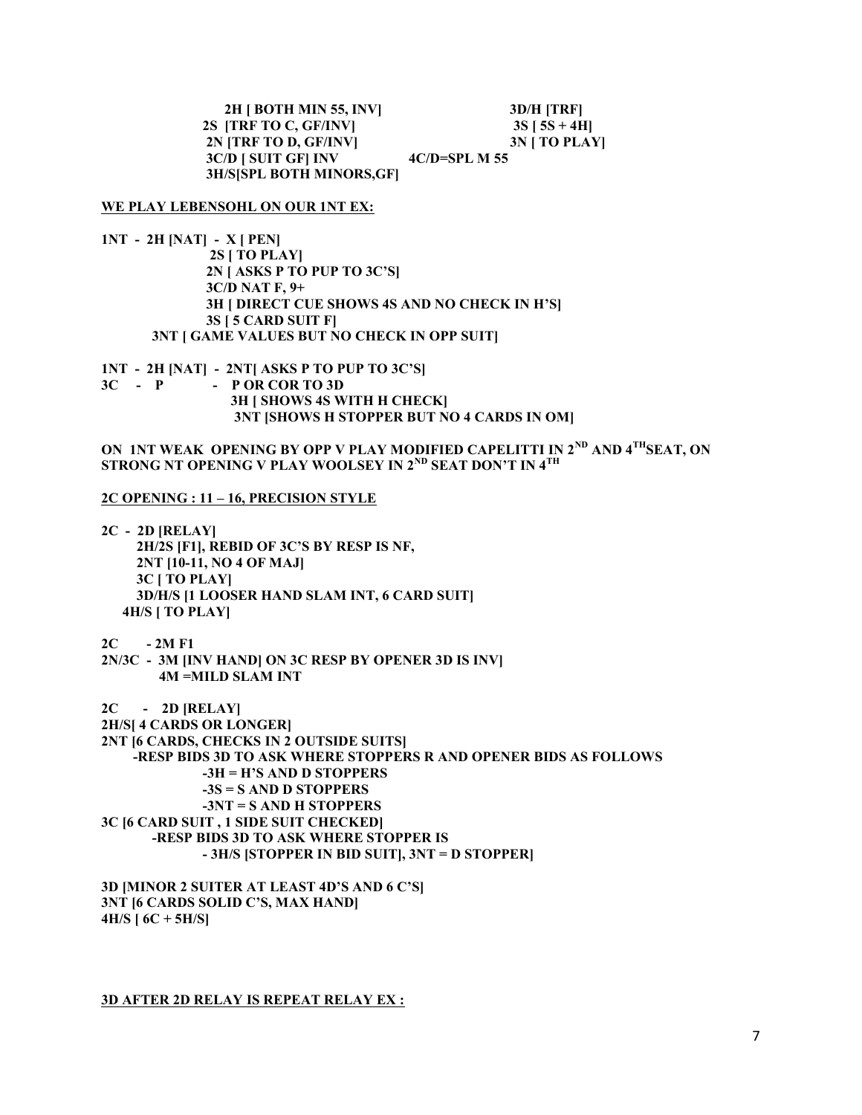2H [ BOTH MIN 55, INV] 3D/H [TRF] 2S [TRF TO C, GF/INV]  $3S [5S + 4H]$ 2N [TRF TO D, GF/INV] 3N [ TO PLAY] 3C/D [ SUIT GF] INV 4C/D=SPL M 55 3H/S[SPL BOTH MINORS,GF]

#### WE PLAY LEBENSOHL ON OUR 1NT EX:

1NT - 2H [NAT] - X [ PEN] 2S [ TO PLAY] 2N [ ASKS P TO PUP TO 3C'S] 3C/D NAT F, 9+ 3H [ DIRECT CUE SHOWS 4S AND NO CHECK IN H'S] 3S [ 5 CARD SUIT F] 3NT [ GAME VALUES BUT NO CHECK IN OPP SUIT]

1NT - 2H [NAT] - 2NT[ ASKS P TO PUP TO 3C'S]  $3C - P$  - P OR COR TO 3D 3H [ SHOWS 4S WITH H CHECK] 3NT [SHOWS H STOPPER BUT NO 4 CARDS IN OM]

ON 1NT WEAK OPENING BY OPP V PLAY MODIFIED CAPELITTI IN 2<sup>ND</sup> AND 4<sup>TH</sup>SEAT, ON STRONG NT OPENING V PLAY WOOLSEY IN 2<sup>ND</sup> SEAT DON'T IN 4<sup>TH</sup>

## 2C OPENING : 11 – 16, PRECISION STYLE

2C - 2D [RELAY] 2H/2S [F1], REBID OF 3C'S BY RESP IS NF, 2NT [10-11, NO 4 OF MAJ] 3C [ TO PLAY] 3D/H/S [1 LOOSER HAND SLAM INT, 6 CARD SUIT] 4H/S [ TO PLAY]

2C - 2M F1

2N/3C - 3M [INV HAND] ON 3C RESP BY OPENER 3D IS INV] 4M =MILD SLAM INT

2C - 2D [RELAY]

2H/S[ 4 CARDS OR LONGER] 2NT [6 CARDS, CHECKS IN 2 OUTSIDE SUITS] -RESP BIDS 3D TO ASK WHERE STOPPERS R AND OPENER BIDS AS FOLLOWS -3H = H'S AND D STOPPERS -3S = S AND D STOPPERS -3NT = S AND H STOPPERS 3C [6 CARD SUIT , 1 SIDE SUIT CHECKED] -RESP BIDS 3D TO ASK WHERE STOPPER IS - 3H/S [STOPPER IN BID SUIT], 3NT = D STOPPER]

3D [MINOR 2 SUITER AT LEAST 4D'S AND 6 C'S] 3NT [6 CARDS SOLID C'S, MAX HAND]  $4H/S$  [  $6C + 5H/S$ ]

3D AFTER 2D RELAY IS REPEAT RELAY EX :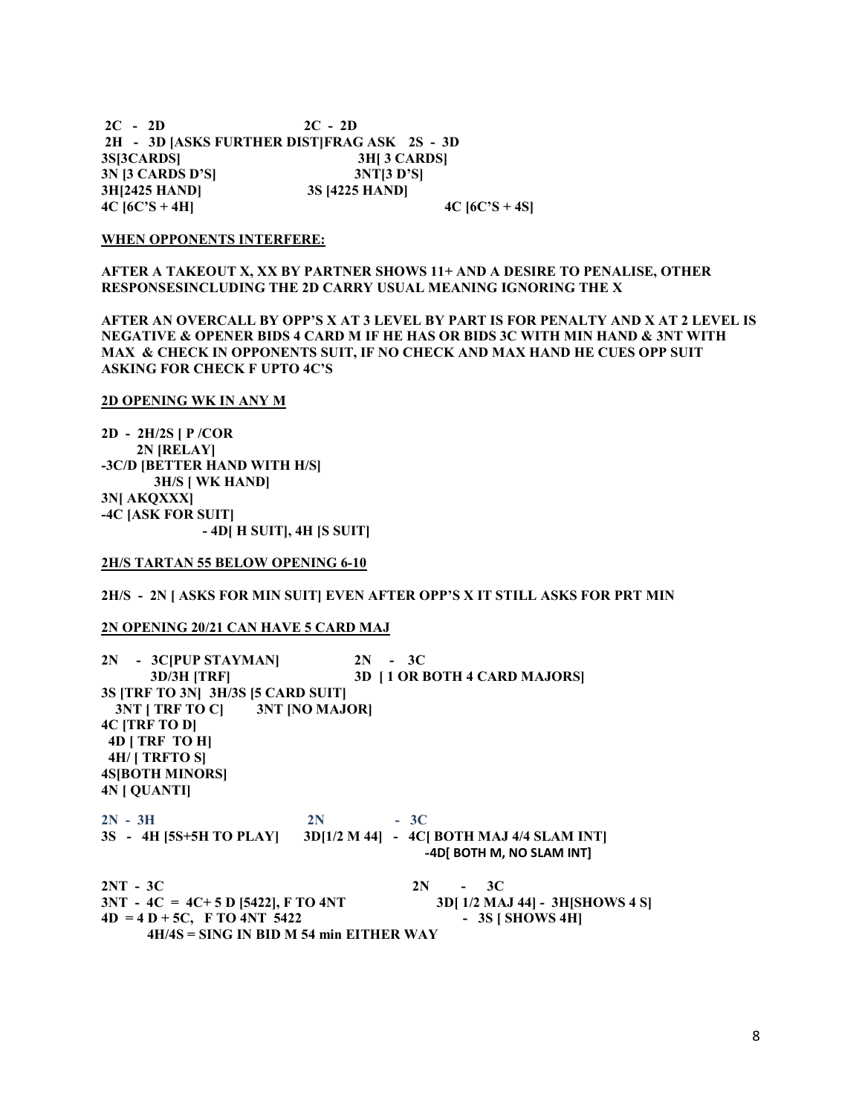$2C - 2D$   $2C - 2D$  2H - 3D [ASKS FURTHER DIST]FRAG ASK 2S - 3D 3S[3CARDS] 3H[ 3 CARDS] 3N [3 CARDS D'S] 3NT[3 D'S] 3H[2425 HAND] 3S [4225 HAND]  $4C \, [6C^{\prime}S + 4H]$   $4C \, [6C^{\prime}S + 4S]$ 

#### WHEN OPPONENTS INTERFERE:

AFTER A TAKEOUT X, XX BY PARTNER SHOWS 11+ AND A DESIRE TO PENALISE, OTHER RESPONSESINCLUDING THE 2D CARRY USUAL MEANING IGNORING THE X

AFTER AN OVERCALL BY OPP'S X AT 3 LEVEL BY PART IS FOR PENALTY AND X AT 2 LEVEL IS NEGATIVE & OPENER BIDS 4 CARD M IF HE HAS OR BIDS 3C WITH MIN HAND & 3NT WITH MAX & CHECK IN OPPONENTS SUIT, IF NO CHECK AND MAX HAND HE CUES OPP SUIT ASKING FOR CHECK F UPTO 4C'S

#### 2D OPENING WK IN ANY M

2D - 2H/2S [ P /COR 2N [RELAY] -3C/D [BETTER HAND WITH H/S] 3H/S [ WK HAND] 3N[ AKQXXX] -4C [ASK FOR SUIT] - 4D[ H SUIT], 4H [S SUIT]

#### 2H/S TARTAN 55 BELOW OPENING 6-10

#### 2H/S - 2N [ ASKS FOR MIN SUIT] EVEN AFTER OPP'S X IT STILL ASKS FOR PRT MIN

## 2N OPENING 20/21 CAN HAVE 5 CARD MAJ

| 2N - 3C PUP STAYMAN                       |           | $2N - 3C$                                                         |
|-------------------------------------------|-----------|-------------------------------------------------------------------|
| <b>3D/3H [TRF]</b>                        |           | <b>3D   1 OR BOTH 4 CARD MAJORS]</b>                              |
| 3S [TRF TO 3N] 3H/3S [5 CARD SUIT]        |           |                                                                   |
| 3NT [ TRF TO C] 3NT [NO MAJOR]            |           |                                                                   |
| 4C [TRF TO D]                             |           |                                                                   |
| 4D   TRF TO H                             |           |                                                                   |
| 4H/ [ TRFTO S]                            |           |                                                                   |
| <b>4S[BOTH MINORS]</b>                    |           |                                                                   |
| <b>4N   QUANTI]</b>                       |           |                                                                   |
| $2N - 3H$                                 | $2N - 3C$ |                                                                   |
|                                           |           | 3S - 4H [5S+5H TO PLAY] 3D[1/2 M 44] - 4C[ BOTH MAJ 4/4 SLAM INT] |
|                                           |           | -4D[ BOTH M, NO SLAM INT]                                         |
| $2NT - 3C$                                |           | $2N - 3C$                                                         |
| $3NT - 4C = 4C + 5 D$ [5422], F TO 4NT    |           | 3D[1/2 MAJ 44] - 3H[SHOWS 4 S]                                    |
| $4D = 4D + 5C$ , F TO $4NT$ 5422          |           | $-3S$ [ SHOWS 4H]                                                 |
| $4H/4S =$ SING IN BID M 54 min EITHER WAY |           |                                                                   |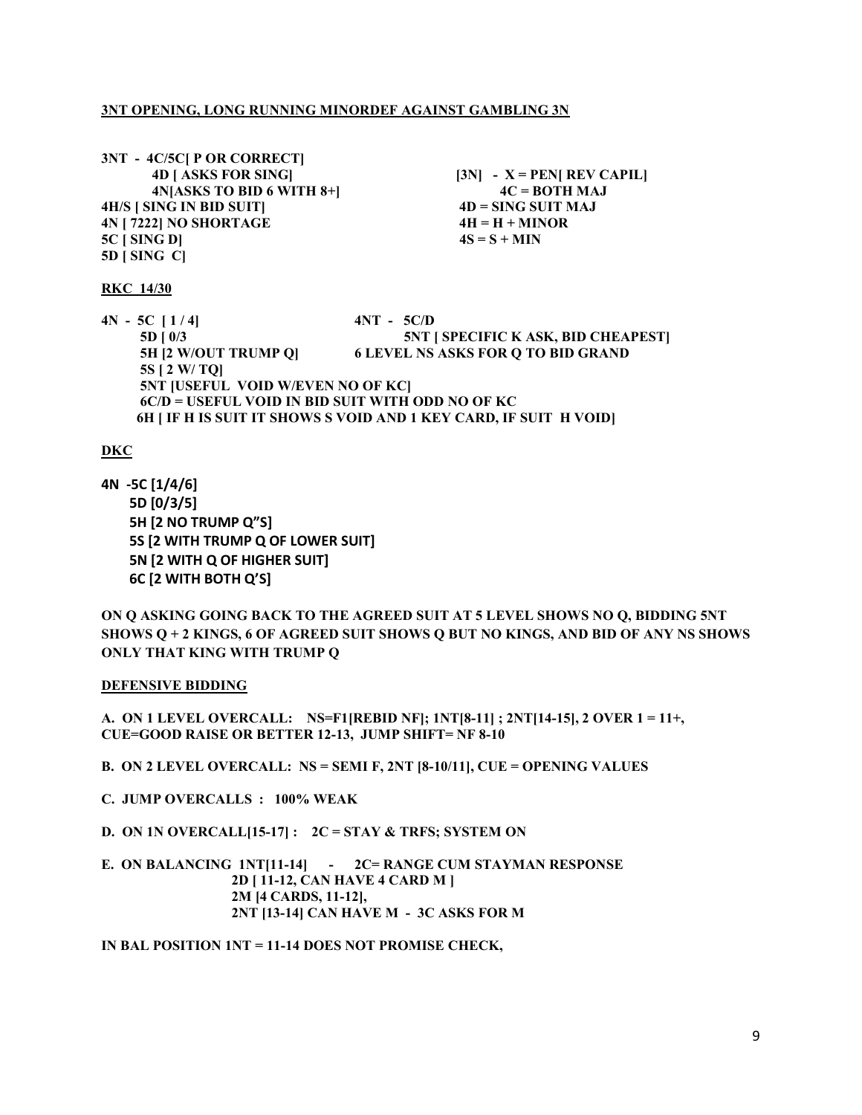# 3NT OPENING, LONG RUNNING MINORDEF AGAINST GAMBLING 3N

3NT - 4C/5C[ P OR CORRECT]  $4N[ASKS TO BID 6 WITH 8+]$   $4C = BOTH MAJ$ 4H/S [ SING IN BID SUIT] 4D = SING SUIT MAJ  $4N$  [ 7222] NO SHORTAGE 4H = H + MINOR  $5C$  [ SING D]  $4S = S + MIN$ 5D [ SING C]

 $4D$  [ ASKS FOR SING] [3N] - X = PEN[ REV CAPIL]

### RKC 14/30

 $4N - 5C$  [  $1/4$ ]  $4NT - 5C/D$  5D [ 0/3 5NT [ SPECIFIC K ASK, BID CHEAPEST] 5H [2 W/OUT TRUMP Q] 6 LEVEL NS ASKS FOR Q TO BID GRAND 5S [ 2 W/ TQ] 5NT [USEFUL VOID W/EVEN NO OF KC] 6C/D = USEFUL VOID IN BID SUIT WITH ODD NO OF KC 6H [ IF H IS SUIT IT SHOWS S VOID AND 1 KEY CARD, IF SUIT H VOID]

# DKC

4N -5C [1/4/6] 5D [0/3/5] 5H [2 NO TRUMP Q"S] 5S [2 WITH TRUMP Q OF LOWER SUIT] 5N [2 WITH Q OF HIGHER SUIT] 6C [2 WITH BOTH Q'S]

ON Q ASKING GOING BACK TO THE AGREED SUIT AT 5 LEVEL SHOWS NO Q, BIDDING 5NT SHOWS Q + 2 KINGS, 6 OF AGREED SUIT SHOWS Q BUT NO KINGS, AND BID OF ANY NS SHOWS ONLY THAT KING WITH TRUMP Q

## DEFENSIVE BIDDING

A. ON 1 LEVEL OVERCALL: NS=F1[REBID NF]; 1NT[8-11] ; 2NT[14-15], 2 OVER 1 = 11+, CUE=GOOD RAISE OR BETTER 12-13, JUMP SHIFT= NF 8-10

- B. ON 2 LEVEL OVERCALL: NS = SEMI F, 2NT [8-10/11], CUE = OPENING VALUES
- C. JUMP OVERCALLS : 100% WEAK
- D. ON 1N OVERCALL $[15-17]$ : 2C = STAY & TRFS; SYSTEM ON

E. ON BALANCING 1NT[11-14] - 2C= RANGE CUM STAYMAN RESPONSE 2D [ 11-12, CAN HAVE 4 CARD M ] 2M [4 CARDS, 11-12], 2NT [13-14] CAN HAVE M - 3C ASKS FOR M

IN BAL POSITION 1NT = 11-14 DOES NOT PROMISE CHECK,